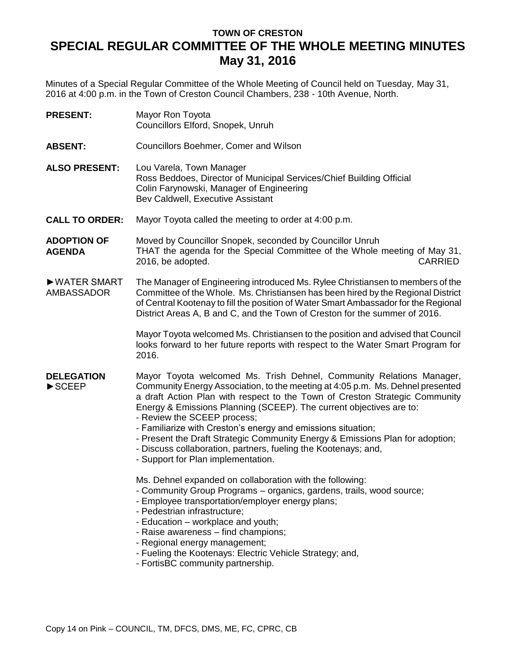# **TOWN OF CRESTON SPECIAL REGULAR COMMITTEE OF THE WHOLE MEETING MINUTES May 31, 2016**

Minutes of a Special Regular Committee of the Whole Meeting of Council held on Tuesday, May 31, 2016 at 4:00 p.m. in the Town of Creston Council Chambers, 238 - 10th Avenue, North.

| <b>PRESENT:</b>       | Mayor Ron Toyota<br>Councillors Elford, Snopek, Unruh                                                                                                                             |
|-----------------------|-----------------------------------------------------------------------------------------------------------------------------------------------------------------------------------|
| <b>ABSENT:</b>        | Councillors Boehmer, Comer and Wilson                                                                                                                                             |
| <b>ALSO PRESENT:</b>  | Lou Varela, Town Manager<br>Ross Beddoes, Director of Municipal Services/Chief Building Official<br>Colin Farynowski, Manager of Engineering<br>Bev Caldwell, Executive Assistant |
| <b>CALL TO ORDER:</b> | Mayor Toyota called the meeting to order at 4:00 p.m.                                                                                                                             |

**ADOPTION OF AGENDA** Moved by Councillor Snopek, seconded by Councillor Unruh THAT the agenda for the Special Committee of the Whole meeting of May 31, 2016, be adopted. The contract of the contract of the contract of the contract of the contract of the contract of the contract of the contract of the contract of the contract of the contract of the contract of the contract

►WATER SMART AMBASSADOR The Manager of Engineering introduced Ms. Rylee Christiansen to members of the Committee of the Whole. Ms. Christiansen has been hired by the Regional District of Central Kootenay to fill the position of Water Smart Ambassador for the Regional District Areas A, B and C, and the Town of Creston for the summer of 2016.

> Mayor Toyota welcomed Ms. Christiansen to the position and advised that Council looks forward to her future reports with respect to the Water Smart Program for 2016.

#### **DELEGATION** ►SCEEP Mayor Toyota welcomed Ms. Trish Dehnel, Community Relations Manager, Community Energy Association, to the meeting at 4:05 p.m. Ms. Dehnel presented a draft Action Plan with respect to the Town of Creston Strategic Community Energy & Emissions Planning (SCEEP). The current objectives are to:

- Review the SCEEP process;
- Familiarize with Creston's energy and emissions situation;
- Present the Draft Strategic Community Energy & Emissions Plan for adoption;
- Discuss collaboration, partners, fueling the Kootenays; and,
- Support for Plan implementation.

Ms. Dehnel expanded on collaboration with the following:

- Community Group Programs organics, gardens, trails, wood source;
- Employee transportation/employer energy plans;
- Pedestrian infrastructure;
- Education workplace and youth;
- Raise awareness find champions;
- Regional energy management;
- Fueling the Kootenays: Electric Vehicle Strategy; and,
- FortisBC community partnership.